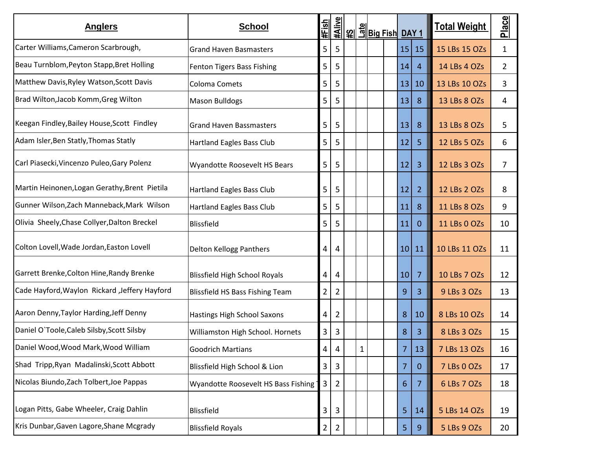| <b>Anglers</b>                                | <b>School</b>                          | #Fish          | #Alive         |              |  |                 |                |               |    | <u> ମାରୁ ମୁଖ୍ୟ ମୁଖ୍ୟ  </u> |  | <u>Total Weight</u> | Place |
|-----------------------------------------------|----------------------------------------|----------------|----------------|--------------|--|-----------------|----------------|---------------|----|----------------------------|--|---------------------|-------|
| Carter Williams, Cameron Scarbrough,          | <b>Grand Haven Basmasters</b>          | 5              | 5              |              |  |                 | 15 15          | 15 LBs 15 OZs | 1  |                            |  |                     |       |
| Beau Turnblom, Peyton Stapp, Bret Holling     | Fenton Tigers Bass Fishing             | 5              | 5              |              |  | 14              | 4              | 14 LBs 4 OZs  | 2  |                            |  |                     |       |
| Matthew Davis, Ryley Watson, Scott Davis      | Coloma Comets                          | 5              | 5              |              |  | 13 <sup>1</sup> | 10             | 13 LBs 10 OZs | 3  |                            |  |                     |       |
| Brad Wilton, Jacob Komm, Greg Wilton          | <b>Mason Bulldogs</b>                  | 5              | 5              |              |  | 13              | 8              | 13 LBs 8 OZs  | 4  |                            |  |                     |       |
| Keegan Findley, Bailey House, Scott Findley   | <b>Grand Haven Bassmasters</b>         | 5              | 5              |              |  | 13              | 8              | 13 LBs 8 OZs  | 5  |                            |  |                     |       |
| Adam Isler, Ben Statly, Thomas Statly         | <b>Hartland Eagles Bass Club</b>       | 5              | 5              |              |  | 12              | 5              | 12 LBs 5 OZs  | 6  |                            |  |                     |       |
| Carl Piasecki, Vincenzo Puleo, Gary Polenz    | Wyandotte Roosevelt HS Bears           | 5              | 5              |              |  | 12              | 3              | 12 LBs 3 OZs  | 7  |                            |  |                     |       |
| Martin Heinonen, Logan Gerathy, Brent Pietila | <b>Hartland Eagles Bass Club</b>       | 5              | 5              |              |  | 12              | $\overline{2}$ | 12 LBs 2 OZs  | 8  |                            |  |                     |       |
| Gunner Wilson, Zach Manneback, Mark Wilson    | <b>Hartland Eagles Bass Club</b>       | 5              | 5              |              |  | 11              | 8              | 11 LBs 8 OZs  | 9  |                            |  |                     |       |
| Olivia Sheely, Chase Collyer, Dalton Breckel  | Blissfield                             | 5              | 5              |              |  | 11              | $\overline{0}$ | 11 LBs 0 OZs  | 10 |                            |  |                     |       |
| Colton Lovell, Wade Jordan, Easton Lovell     | Delton Kellogg Panthers                | 4              | 4              |              |  |                 | 10 11          | 10 LBs 11 OZs | 11 |                            |  |                     |       |
| Garrett Brenke, Colton Hine, Randy Brenke     | <b>Blissfield High School Royals</b>   | 4              | 4              |              |  | 10 <sup>1</sup> | $\overline{7}$ | 10 LBs 7 OZs  | 12 |                            |  |                     |       |
| Cade Hayford, Waylon Rickard, Jeffery Hayford | <b>Blissfield HS Bass Fishing Team</b> | $\overline{2}$ | $\overline{2}$ |              |  | 9               | $\overline{3}$ | 9 LBs 3 OZs   | 13 |                            |  |                     |       |
| Aaron Denny, Taylor Harding, Jeff Denny       | Hastings High School Saxons            | 4              | $\overline{2}$ |              |  | 8               | 10             | 8 LBs 10 OZs  | 14 |                            |  |                     |       |
| Daniel O'Toole, Caleb Silsby, Scott Silsby    | Williamston High School. Hornets       | 3              | 3              |              |  | 8               | 3              | 8 LBs 3 OZs   | 15 |                            |  |                     |       |
| Daniel Wood, Wood Mark, Wood William          | <b>Goodrich Martians</b>               | 4              | 4              | $\mathbf{1}$ |  | 7               | 13             | 7 LBs 13 OZs  | 16 |                            |  |                     |       |
| Shad Tripp, Ryan Madalinski, Scott Abbott     | Blissfield High School & Lion          | 3              | 3              |              |  | 7               | $\mathbf{0}$   | 7 LBs 0 OZs   | 17 |                            |  |                     |       |
| Nicolas Biundo, Zach Tolbert, Joe Pappas      | Wyandotte Roosevelt HS Bass Fishing    | 3              | $\overline{2}$ |              |  | 6               | $\overline{7}$ | 6 LBs 7 OZs   | 18 |                            |  |                     |       |
| Logan Pitts, Gabe Wheeler, Craig Dahlin       | <b>Blissfield</b>                      | 3              | 3              |              |  | 5.              | 14             | 5 LBs 14 OZs  | 19 |                            |  |                     |       |
| Kris Dunbar, Gaven Lagore, Shane Mcgrady      | <b>Blissfield Royals</b>               | $\overline{2}$ | $\overline{2}$ |              |  | 5 <sub>1</sub>  | 9              | 5 LBs 9 OZs   | 20 |                            |  |                     |       |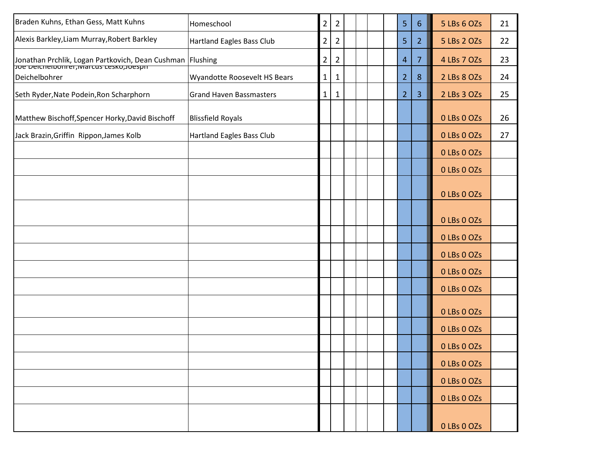| Braden Kuhns, Ethan Gess, Matt Kuhns                                                                 | Homeschool                       | $\overline{2}$ | $\overline{2}$ |  |  | 5              | $6\phantom{1}$ | 5 LBs 6 OZs | 21 |
|------------------------------------------------------------------------------------------------------|----------------------------------|----------------|----------------|--|--|----------------|----------------|-------------|----|
| Alexis Barkley, Liam Murray, Robert Barkley                                                          | <b>Hartland Eagles Bass Club</b> | 2              | $\overline{2}$ |  |  | 5              | $\overline{2}$ | 5 LBs 2 OZs | 22 |
| Jonathan Prchlik, Logan Partkovich, Dean Cushman Flushing<br>Joe Deichelbonrer, Marcus Lesko, Joesph |                                  | $\overline{2}$ | $\overline{2}$ |  |  | $\overline{4}$ | $\overline{7}$ | 4 LBs 7 OZs | 23 |
| Deichelbohrer                                                                                        | Wyandotte Roosevelt HS Bears     | $\mathbf{1}$   | $\mathbf{1}$   |  |  | $\overline{2}$ | 8              | 2 LBs 8 OZs | 24 |
| Seth Ryder, Nate Podein, Ron Scharphorn                                                              | <b>Grand Haven Bassmasters</b>   | $\mathbf{1}$   | 1              |  |  | 2 <sup>1</sup> | $\overline{3}$ | 2 LBs 3 OZs | 25 |
| Matthew Bischoff, Spencer Horky, David Bischoff                                                      | <b>Blissfield Royals</b>         |                |                |  |  |                |                | 0 LBs 0 OZs | 26 |
| Jack Brazin, Griffin Rippon, James Kolb                                                              | Hartland Eagles Bass Club        |                |                |  |  |                |                | 0 LBs 0 OZs | 27 |
|                                                                                                      |                                  |                |                |  |  |                |                | 0 LBs 0 OZs |    |
|                                                                                                      |                                  |                |                |  |  |                |                | 0 LBs 0 OZs |    |
|                                                                                                      |                                  |                |                |  |  |                |                | 0 LBs 0 OZs |    |
|                                                                                                      |                                  |                |                |  |  |                |                | 0 LBs 0 OZs |    |
|                                                                                                      |                                  |                |                |  |  |                |                | 0 LBs 0 OZs |    |
|                                                                                                      |                                  |                |                |  |  |                |                | 0 LBs 0 OZs |    |
|                                                                                                      |                                  |                |                |  |  |                |                | 0 LBs 0 OZs |    |
|                                                                                                      |                                  |                |                |  |  |                |                | 0 LBs 0 OZs |    |
|                                                                                                      |                                  |                |                |  |  |                |                | 0 LBs 0 OZs |    |
|                                                                                                      |                                  |                |                |  |  |                |                | 0 LBs 0 OZs |    |
|                                                                                                      |                                  |                |                |  |  |                |                | 0 LBs 0 OZs |    |
|                                                                                                      |                                  |                |                |  |  |                |                | 0 LBs 0 OZs |    |
|                                                                                                      |                                  |                |                |  |  |                |                | 0 LBs 0 OZs |    |
|                                                                                                      |                                  |                |                |  |  |                |                | 0 LBs 0 OZs |    |
|                                                                                                      |                                  |                |                |  |  |                |                | 0 LBs 0 OZs |    |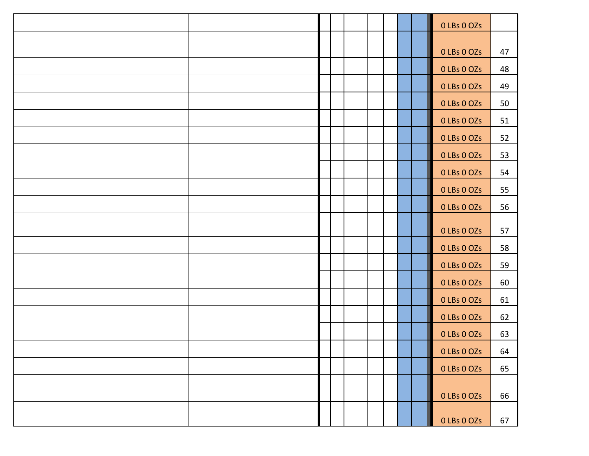|  |  |  |  | 0 LBs 0 OZs |    |
|--|--|--|--|-------------|----|
|  |  |  |  |             |    |
|  |  |  |  | 0 LBs 0 OZs | 47 |
|  |  |  |  | 0 LBs 0 OZs | 48 |
|  |  |  |  | 0 LBs 0 OZs | 49 |
|  |  |  |  | 0 LBs 0 OZs | 50 |
|  |  |  |  | 0 LBs 0 OZs | 51 |
|  |  |  |  | 0 LBs 0 OZs | 52 |
|  |  |  |  | 0 LBs 0 OZs | 53 |
|  |  |  |  | 0 LBs 0 OZs | 54 |
|  |  |  |  | 0 LBs 0 OZs | 55 |
|  |  |  |  | 0 LBs 0 OZs | 56 |
|  |  |  |  | 0 LBs 0 OZs | 57 |
|  |  |  |  | 0 LBs 0 OZs | 58 |
|  |  |  |  | 0 LBs 0 OZs | 59 |
|  |  |  |  | 0 LBs 0 OZs | 60 |
|  |  |  |  | 0 LBs 0 OZs | 61 |
|  |  |  |  | 0 LBs 0 OZs | 62 |
|  |  |  |  | 0 LBs 0 OZs | 63 |
|  |  |  |  | 0 LBs 0 OZs | 64 |
|  |  |  |  | 0 LBs 0 OZs | 65 |
|  |  |  |  | 0 LBs 0 OZs | 66 |
|  |  |  |  | 0 LBs 0 OZs | 67 |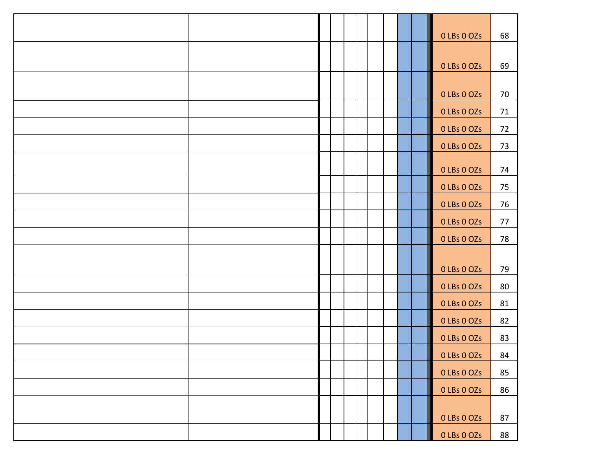|  |  |  |  | 0 LBs 0 OZs | 68 |
|--|--|--|--|-------------|----|
|  |  |  |  |             |    |
|  |  |  |  | 0 LBs 0 OZs | 69 |
|  |  |  |  | 0 LBs 0 OZs | 70 |
|  |  |  |  | 0 LBs 0 OZs | 71 |
|  |  |  |  | 0 LBs 0 OZs | 72 |
|  |  |  |  | 0 LBs 0 OZs | 73 |
|  |  |  |  | 0 LBs 0 OZs | 74 |
|  |  |  |  | 0 LBs 0 OZs | 75 |
|  |  |  |  | 0 LBs 0 OZs | 76 |
|  |  |  |  | 0 LBs 0 OZs | 77 |
|  |  |  |  | 0 LBs 0 OZs | 78 |
|  |  |  |  |             |    |
|  |  |  |  | 0 LBs 0 OZs | 79 |
|  |  |  |  | 0 LBs 0 OZs | 80 |
|  |  |  |  | 0 LBs 0 OZs | 81 |
|  |  |  |  | 0 LBs 0 OZs | 82 |
|  |  |  |  | 0 LBs 0 OZs | 83 |
|  |  |  |  | 0 LBs 0 OZs | 84 |
|  |  |  |  | 0 LBs 0 OZS | 85 |
|  |  |  |  | 0 LBs 0 OZs | 86 |
|  |  |  |  | 0 LBs 0 OZs | 87 |
|  |  |  |  | 0 LBs 0 OZs | 88 |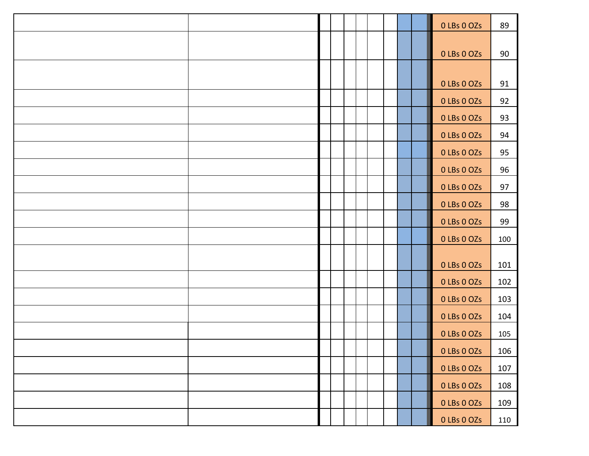|  |  |  |  | 0 LBs 0 OZs | 89  |
|--|--|--|--|-------------|-----|
|  |  |  |  |             |     |
|  |  |  |  | 0 LBs 0 OZs | 90  |
|  |  |  |  |             |     |
|  |  |  |  | 0 LBs 0 OZs | 91  |
|  |  |  |  | 0 LBs 0 OZS | 92  |
|  |  |  |  | 0 LBs 0 OZs | 93  |
|  |  |  |  | 0 LBs 0 OZs | 94  |
|  |  |  |  | 0 LBs 0 OZs | 95  |
|  |  |  |  | 0 LBs 0 OZs | 96  |
|  |  |  |  | 0 LBs 0 OZs | 97  |
|  |  |  |  | 0 LBs 0 OZs | 98  |
|  |  |  |  | 0 LBs 0 OZs | 99  |
|  |  |  |  | 0 LBs 0 OZs | 100 |
|  |  |  |  | 0 LBs 0 OZs | 101 |
|  |  |  |  | 0 LBs 0 OZs | 102 |
|  |  |  |  | 0 LBs 0 OZs | 103 |
|  |  |  |  | 0 LBs 0 OZs | 104 |
|  |  |  |  | 0 LBs 0 OZs | 105 |
|  |  |  |  | 0 LBs 0 OZs | 106 |
|  |  |  |  | 0 LBs 0 OZs | 107 |
|  |  |  |  | 0 LBs 0 OZs | 108 |
|  |  |  |  | 0 LBs 0 OZs | 109 |
|  |  |  |  | 0 LBs 0 OZs | 110 |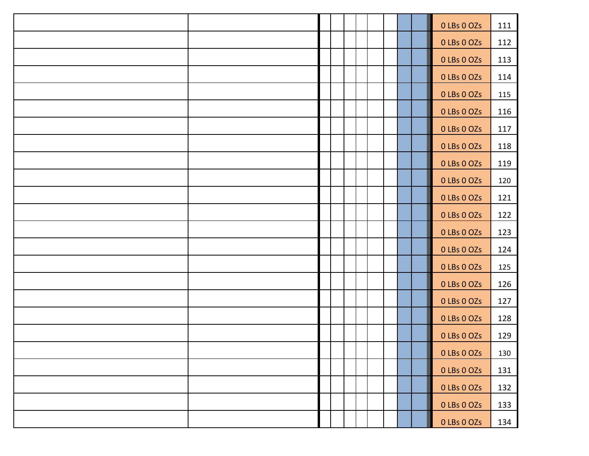|  |  |  |  | 0 LBs 0 OZs | 111 |
|--|--|--|--|-------------|-----|
|  |  |  |  | 0 LBs 0 OZs | 112 |
|  |  |  |  | 0 LBs 0 OZs | 113 |
|  |  |  |  | 0 LBs 0 OZs | 114 |
|  |  |  |  | 0 LBs 0 OZs | 115 |
|  |  |  |  | 0 LBs 0 OZs | 116 |
|  |  |  |  | 0 LBs 0 OZs | 117 |
|  |  |  |  | 0 LBs 0 OZs | 118 |
|  |  |  |  | 0 LBs 0 OZs | 119 |
|  |  |  |  | 0 LBs 0 OZs | 120 |
|  |  |  |  | 0 LBs 0 OZs | 121 |
|  |  |  |  | 0 LBs 0 OZs | 122 |
|  |  |  |  | 0 LBs 0 OZs | 123 |
|  |  |  |  | 0 LBs 0 OZs | 124 |
|  |  |  |  | 0 LBs 0 OZs | 125 |
|  |  |  |  | 0 LBs 0 OZs | 126 |
|  |  |  |  | 0 LBs 0 OZs | 127 |
|  |  |  |  | 0 LBs 0 OZs | 128 |
|  |  |  |  | 0 LBs 0 OZs | 129 |
|  |  |  |  | 0 LBs 0 OZs | 130 |
|  |  |  |  | 0 LBs 0 OZs | 131 |
|  |  |  |  | 0 LBs 0 OZs | 132 |
|  |  |  |  | 0 LBs 0 OZs | 133 |
|  |  |  |  | 0 LBs 0 OZs | 134 |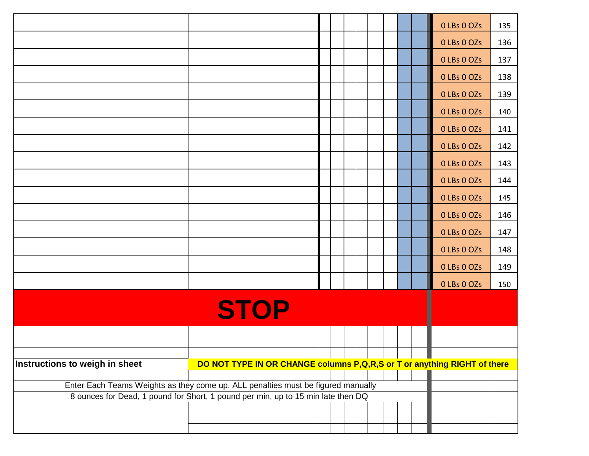|                                |                                                                                  |  |  |  |  | 0 LBs 0 OZs | 135 |
|--------------------------------|----------------------------------------------------------------------------------|--|--|--|--|-------------|-----|
|                                |                                                                                  |  |  |  |  | 0 LBs 0 OZs | 136 |
|                                |                                                                                  |  |  |  |  | 0 LBs 0 OZs | 137 |
|                                |                                                                                  |  |  |  |  | 0 LBs 0 OZs | 138 |
|                                |                                                                                  |  |  |  |  | 0 LBs 0 OZs | 139 |
|                                |                                                                                  |  |  |  |  | 0 LBs 0 OZs | 140 |
|                                |                                                                                  |  |  |  |  | 0 LBs 0 OZs | 141 |
|                                |                                                                                  |  |  |  |  | 0 LBs 0 OZs | 142 |
|                                |                                                                                  |  |  |  |  | 0 LBs 0 OZs | 143 |
|                                |                                                                                  |  |  |  |  | 0 LBs 0 OZs | 144 |
|                                |                                                                                  |  |  |  |  | 0 LBs 0 OZs | 145 |
|                                |                                                                                  |  |  |  |  | 0 LBs 0 OZs | 146 |
|                                |                                                                                  |  |  |  |  | 0 LBs 0 OZs | 147 |
|                                |                                                                                  |  |  |  |  | 0 LBs 0 OZs | 148 |
|                                |                                                                                  |  |  |  |  | 0 LBs 0 OZs | 149 |
|                                |                                                                                  |  |  |  |  | 0 LBs 0 OZs | 150 |
|                                | <b>STOP</b>                                                                      |  |  |  |  |             |     |
|                                |                                                                                  |  |  |  |  |             |     |
|                                |                                                                                  |  |  |  |  |             |     |
| Instructions to weigh in sheet | DO NOT TYPE IN OR CHANGE columns P, Q, R, S or T or anything RIGHT of there      |  |  |  |  |             |     |
|                                |                                                                                  |  |  |  |  |             |     |
|                                | Enter Each Teams Weights as they come up. ALL penalties must be figured manually |  |  |  |  |             |     |
|                                | 8 ounces for Dead, 1 pound for Short, 1 pound per min, up to 15 min late then DQ |  |  |  |  |             |     |
|                                |                                                                                  |  |  |  |  |             |     |
|                                |                                                                                  |  |  |  |  |             |     |
|                                |                                                                                  |  |  |  |  |             |     |